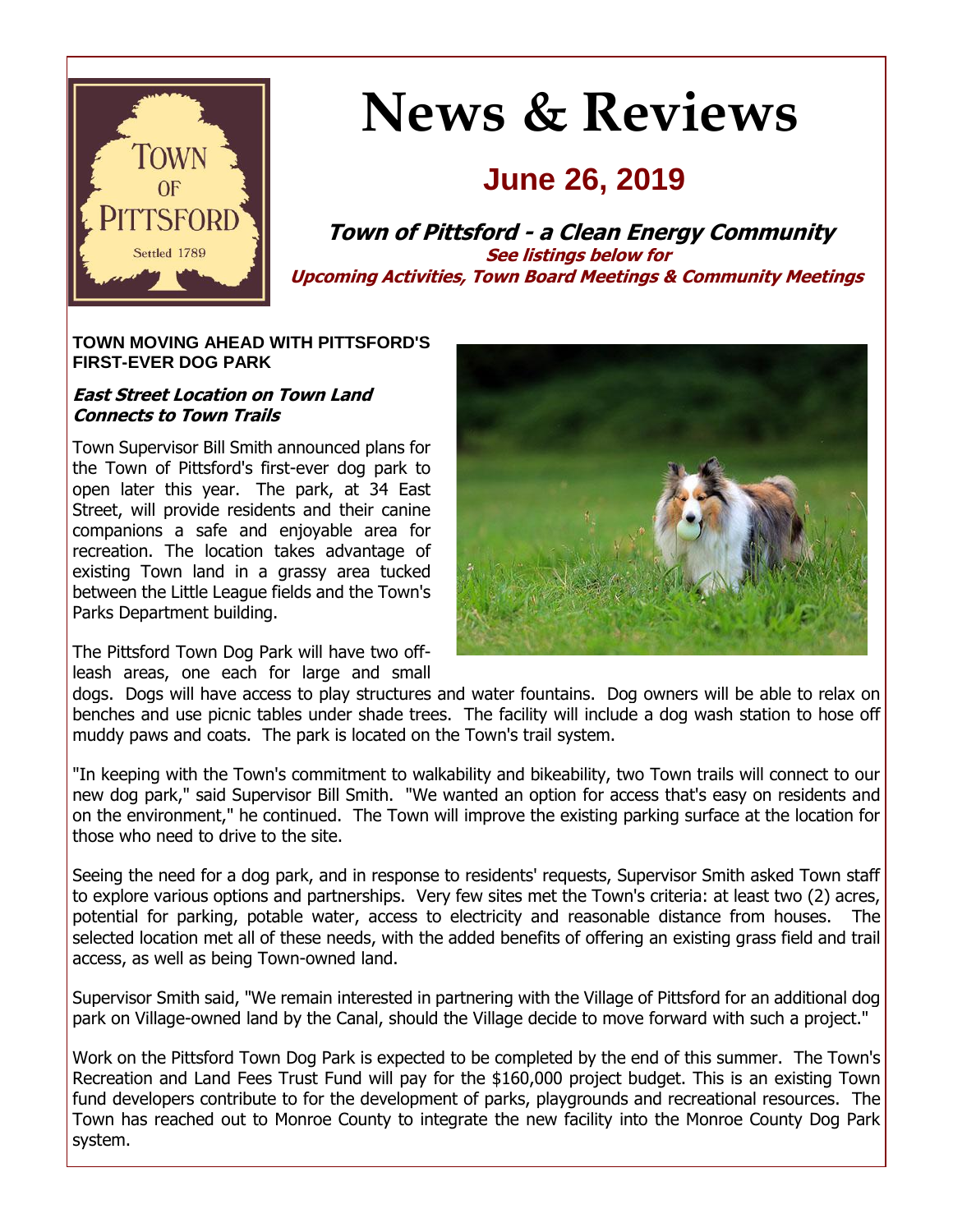

# **News & Reviews**

## **June 26, 2019**

**Town of Pittsford - a Clean Energy Community See listings below for Upcoming Activities, Town Board Meetings & Community Meetings**

#### **TOWN MOVING AHEAD WITH PITTSFORD'S FIRST-EVER DOG PARK**

#### **East Street Location on Town Land Connects to Town Trails**

Town Supervisor Bill Smith announced plans for the Town of Pittsford's first-ever dog park to open later this year. The park, at 34 East Street, will provide residents and their canine companions a safe and enjoyable area for recreation. The location takes advantage of existing Town land in a grassy area tucked between the Little League fields and the Town's Parks Department building.

The Pittsford Town Dog Park will have two offleash areas, one each for large and small



dogs. Dogs will have access to play structures and water fountains. Dog owners will be able to relax on benches and use picnic tables under shade trees. The facility will include a dog wash station to hose off muddy paws and coats. The park is located on the Town's trail system.

"In keeping with the Town's commitment to walkability and bikeability, two Town trails will connect to our new dog park," said Supervisor Bill Smith. "We wanted an option for access that's easy on residents and on the environment," he continued. The Town will improve the existing parking surface at the location for those who need to drive to the site.

Seeing the need for a dog park, and in response to residents' requests, Supervisor Smith asked Town staff to explore various options and partnerships. Very few sites met the Town's criteria: at least two (2) acres, potential for parking, potable water, access to electricity and reasonable distance from houses. The selected location met all of these needs, with the added benefits of offering an existing grass field and trail access, as well as being Town-owned land.

Supervisor Smith said, "We remain interested in partnering with the Village of Pittsford for an additional dog park on Village-owned land by the Canal, should the Village decide to move forward with such a project."

Work on the Pittsford Town Dog Park is expected to be completed by the end of this summer. The Town's Recreation and Land Fees Trust Fund will pay for the \$160,000 project budget. This is an existing Town fund developers contribute to for the development of parks, playgrounds and recreational resources. The Town has reached out to Monroe County to integrate the new facility into the Monroe County Dog Park system.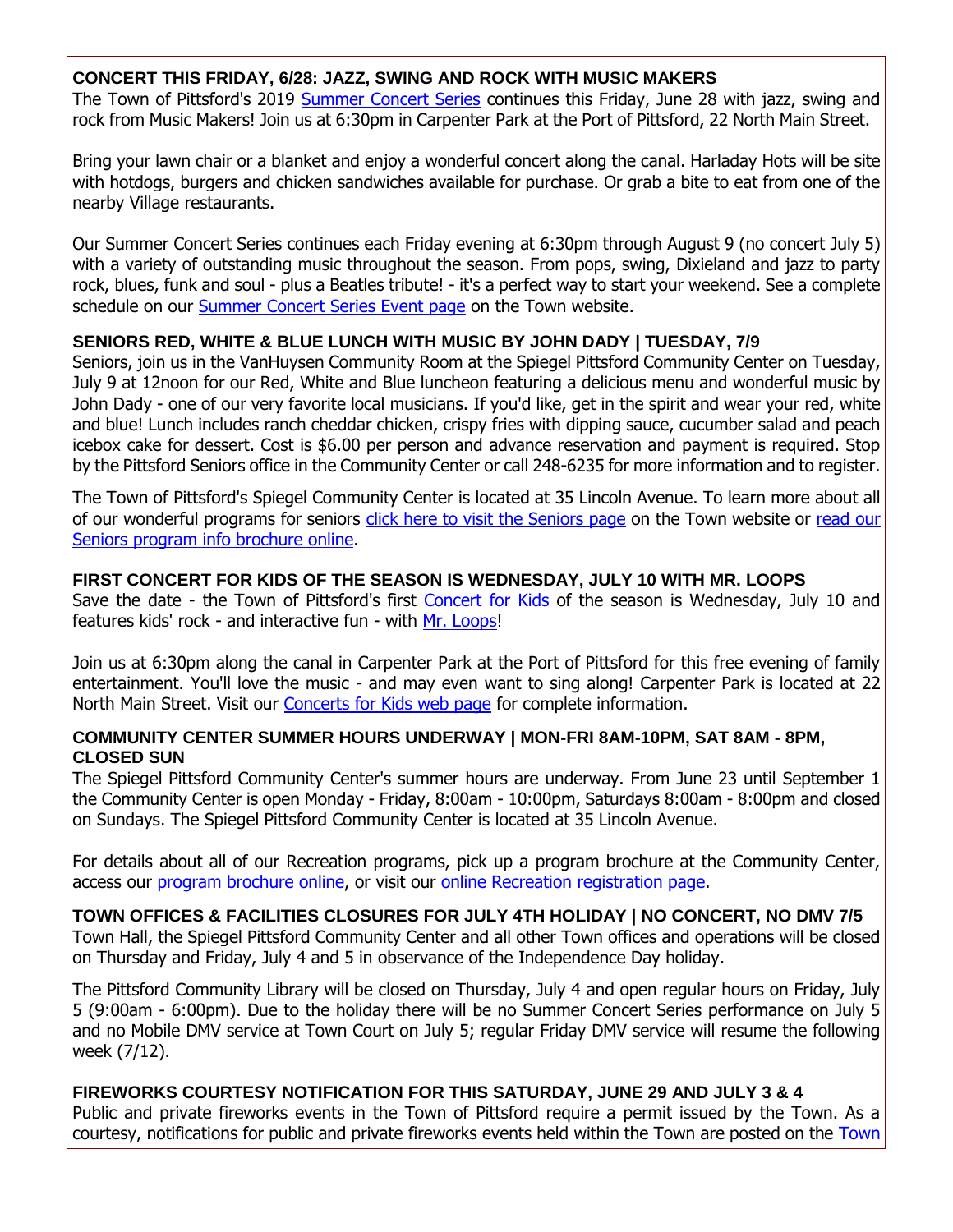#### **CONCERT THIS FRIDAY, 6/28: JAZZ, SWING AND ROCK WITH MUSIC MAKERS**

The Town of Pittsford's 2019 [Summer Concert Series](http://r20.rs6.net/tn.jsp?f=001108hQT80oTvOD08WMW_TzxMWFfw05AjFTyUnfhyCQnjctFlpyjCM7ZrzFARN-0DU1FNKiNOwK6Yx4EslqaNJ00rHBmTgrLI6VtrSNtxB_beUjqd338Rn57YUAEmfgKkGWEK9Unh-4Fn6RTYZmITpNzXzOKpExDNWI2Ig-tDP1_my_12M2tF3lxBGqCO2Bg5ggMNT4chWMWvfiPER-WenRs3UBvFmTOkOrQHpLp-X-Q1Uo5sELbnjdp4OqgIIcMWXcHLdWASg2lwtEiZBdob8hNtDOFuXGVHVzUkFrCNTqG6TlYLl5MNGiuND5PuX0BjU&c=yUFZ6Xyj0HaMx28MAtrdufakI_i76UrHhDVT3_9rQf2AFbj-XoDqww==&ch=1yaDTtTlc6R90Qdbn1U4n9aeWxa0mzQg-Tjn0jaxr5AIXpHSCFF6EQ==) continues this Friday, June 28 with jazz, swing and rock from Music Makers! Join us at 6:30pm in Carpenter Park at the Port of Pittsford, 22 North Main Street.

Bring your lawn chair or a blanket and enjoy a wonderful concert along the canal. Harladay Hots will be site with hotdogs, burgers and chicken sandwiches available for purchase. Or grab a bite to eat from one of the nearby Village restaurants.

Our Summer Concert Series continues each Friday evening at 6:30pm through August 9 (no concert July 5) with a variety of outstanding music throughout the season. From pops, swing, Dixieland and jazz to party rock, blues, funk and soul - plus a Beatles tribute! - it's a perfect way to start your weekend. See a complete schedule on our [Summer Concert Series Event page](http://r20.rs6.net/tn.jsp?f=001108hQT80oTvOD08WMW_TzxMWFfw05AjFTyUnfhyCQnjctFlpyjCM7ZrzFARN-0DU1FNKiNOwK6Yx4EslqaNJ00rHBmTgrLI6VtrSNtxB_beUjqd338Rn57YUAEmfgKkGWEK9Unh-4Fn6RTYZmITpNzXzOKpExDNWI2Ig-tDP1_my_12M2tF3lxBGqCO2Bg5ggMNT4chWMWvfiPER-WenRs3UBvFmTOkOrQHpLp-X-Q1Uo5sELbnjdp4OqgIIcMWXcHLdWASg2lwtEiZBdob8hNtDOFuXGVHVzUkFrCNTqG6TlYLl5MNGiuND5PuX0BjU&c=yUFZ6Xyj0HaMx28MAtrdufakI_i76UrHhDVT3_9rQf2AFbj-XoDqww==&ch=1yaDTtTlc6R90Qdbn1U4n9aeWxa0mzQg-Tjn0jaxr5AIXpHSCFF6EQ==) on the Town website.

#### **SENIORS RED, WHITE & BLUE LUNCH WITH MUSIC BY JOHN DADY | TUESDAY, 7/9**

Seniors, join us in the VanHuysen Community Room at the Spiegel Pittsford Community Center on Tuesday, July 9 at 12noon for our Red, White and Blue luncheon featuring a delicious menu and wonderful music by John Dady - one of our very favorite local musicians. If you'd like, get in the spirit and wear your red, white and blue! Lunch includes ranch cheddar chicken, crispy fries with dipping sauce, cucumber salad and peach icebox cake for dessert. Cost is \$6.00 per person and advance reservation and payment is required. Stop by the Pittsford Seniors office in the Community Center or call 248-6235 for more information and to register.

The Town of Pittsford's Spiegel Community Center is located at 35 Lincoln Avenue. To learn more about all of our wonderful programs for seniors [click here to visit the Seniors page](http://r20.rs6.net/tn.jsp?f=001108hQT80oTvOD08WMW_TzxMWFfw05AjFTyUnfhyCQnjctFlpyjCM7eQGPtXMswBuw6u-BTpQDhBZYHkeRwEFXnK3YpTM8TkevuSbKPHhcOpAQZj21AuOWV4eHGtSxYnWHSzE7Gqs1DKDBvYsk3suUqs_2Pjvyhnxr-Z3Kyg2NRQfCBI8JTpEXSmfRDYdzEC44pQY9NuxH_n6VjIxAhNFZRPO-mpm_GccsKeDZ7DF7L38F5_-vbGVVpX84pb5N794-5y7L8U64oV4aABJiq8149uSMXVsyUs31D_APxECsYUgjQwYiF-GyhJODKnA40cp&c=yUFZ6Xyj0HaMx28MAtrdufakI_i76UrHhDVT3_9rQf2AFbj-XoDqww==&ch=1yaDTtTlc6R90Qdbn1U4n9aeWxa0mzQg-Tjn0jaxr5AIXpHSCFF6EQ==) on the Town website or [read our](http://r20.rs6.net/tn.jsp?f=001108hQT80oTvOD08WMW_TzxMWFfw05AjFTyUnfhyCQnjctFlpyjCM7SRP0jpC4l5ZCOzlLeFox4HTOCvrzXihNKhrxC5Hi2uL_zqNnvBJLdbBGgynz4zIGzymyuhX4CPPikFrsA_zaueDSiNDj8oDdWQWjkrvNCiIs9X-xDAMgdTOQgO0ye1EV_lTcqMum1Sy-FKMRidyMGuEC6pojPqc2y72v6rqQyeqsWi-8EMgu9yRbC4HelqIQJkvoBJjtd9dBOFtdozkgiC8b6XombPCyK_PJ0lzNgBqy98ZMpPJzi6M974yRjvt_-G6nIPSgAOBmwMH3D0QOva54lLtF1hzOatJtLpDCnrwk6QdhVfg7xGXEq4w0RQWmg==&c=yUFZ6Xyj0HaMx28MAtrdufakI_i76UrHhDVT3_9rQf2AFbj-XoDqww==&ch=1yaDTtTlc6R90Qdbn1U4n9aeWxa0mzQg-Tjn0jaxr5AIXpHSCFF6EQ==)  [Seniors program info brochure online.](http://r20.rs6.net/tn.jsp?f=001108hQT80oTvOD08WMW_TzxMWFfw05AjFTyUnfhyCQnjctFlpyjCM7SRP0jpC4l5ZCOzlLeFox4HTOCvrzXihNKhrxC5Hi2uL_zqNnvBJLdbBGgynz4zIGzymyuhX4CPPikFrsA_zaueDSiNDj8oDdWQWjkrvNCiIs9X-xDAMgdTOQgO0ye1EV_lTcqMum1Sy-FKMRidyMGuEC6pojPqc2y72v6rqQyeqsWi-8EMgu9yRbC4HelqIQJkvoBJjtd9dBOFtdozkgiC8b6XombPCyK_PJ0lzNgBqy98ZMpPJzi6M974yRjvt_-G6nIPSgAOBmwMH3D0QOva54lLtF1hzOatJtLpDCnrwk6QdhVfg7xGXEq4w0RQWmg==&c=yUFZ6Xyj0HaMx28MAtrdufakI_i76UrHhDVT3_9rQf2AFbj-XoDqww==&ch=1yaDTtTlc6R90Qdbn1U4n9aeWxa0mzQg-Tjn0jaxr5AIXpHSCFF6EQ==)

#### **FIRST CONCERT FOR KIDS OF THE SEASON IS WEDNESDAY, JULY 10 WITH MR. LOOPS**

Save the date - the Town of Pittsford's first [Concert for Kids](http://r20.rs6.net/tn.jsp?f=001108hQT80oTvOD08WMW_TzxMWFfw05AjFTyUnfhyCQnjctFlpyjCM7Q-IcxlR0Xfp-JsYbxeDCxei_TE7-HPRYHWnPc_sjlcJGeXmPU2redg1h8fXLnMrwKzzeSu_zeNv0H7x0XVJx_npodJ3MS8ufsiY_LWUxhG0cCOXZDYJqMCbkHSOjOuPL8dWaO-V3pJ6J1OhdObsr1G4LEEqHJIlYpbqR0DqgAXwhNJf_0qDm9eWCzWGNALKgeYcroDUmxf7XQ4gpq7-ZQuWlZhsCTZikX_cR_NnVEM8vlez2muolmR21JsXPd8mPAprGo6zCHw3&c=yUFZ6Xyj0HaMx28MAtrdufakI_i76UrHhDVT3_9rQf2AFbj-XoDqww==&ch=1yaDTtTlc6R90Qdbn1U4n9aeWxa0mzQg-Tjn0jaxr5AIXpHSCFF6EQ==) of the season is Wednesday, July 10 and features kids' rock - and interactive fun - with [Mr. Loops!](http://r20.rs6.net/tn.jsp?f=001108hQT80oTvOD08WMW_TzxMWFfw05AjFTyUnfhyCQnjctFlpyjCM7Q-IcxlR0Xfpu0Jdg97o1LlBr9Q8wZjaflUmGoKF4Xg-qYLjfKUDcjwjlurhp0-I3jEF3zton6BOITmN-2NEgeelkUBOyYjGiVxZ3vu7t4LaUGuwHgEXMbQzTBPB6ibdZr-r00xn3bkpDmhLSLpRyIddrPf_Tjju_xsYeHb5GUwjQmtt6MaUlvih69T3j9uYGKYFHShmT05BESyfz_3-xZfVUs0wqVSQaEKpI-Gb35okEeN2Wg9btx4=&c=yUFZ6Xyj0HaMx28MAtrdufakI_i76UrHhDVT3_9rQf2AFbj-XoDqww==&ch=1yaDTtTlc6R90Qdbn1U4n9aeWxa0mzQg-Tjn0jaxr5AIXpHSCFF6EQ==)

Join us at 6:30pm along the canal in Carpenter Park at the Port of Pittsford for this free evening of family entertainment. You'll love the music - and may even want to sing along! Carpenter Park is located at 22 North Main Street. Visit our [Concerts for Kids web page](http://r20.rs6.net/tn.jsp?f=001108hQT80oTvOD08WMW_TzxMWFfw05AjFTyUnfhyCQnjctFlpyjCM7Q-IcxlR0Xfp-JsYbxeDCxei_TE7-HPRYHWnPc_sjlcJGeXmPU2redg1h8fXLnMrwKzzeSu_zeNv0H7x0XVJx_npodJ3MS8ufsiY_LWUxhG0cCOXZDYJqMCbkHSOjOuPL8dWaO-V3pJ6J1OhdObsr1G4LEEqHJIlYpbqR0DqgAXwhNJf_0qDm9eWCzWGNALKgeYcroDUmxf7XQ4gpq7-ZQuWlZhsCTZikX_cR_NnVEM8vlez2muolmR21JsXPd8mPAprGo6zCHw3&c=yUFZ6Xyj0HaMx28MAtrdufakI_i76UrHhDVT3_9rQf2AFbj-XoDqww==&ch=1yaDTtTlc6R90Qdbn1U4n9aeWxa0mzQg-Tjn0jaxr5AIXpHSCFF6EQ==) for complete information.

#### **COMMUNITY CENTER SUMMER HOURS UNDERWAY | MON-FRI 8AM-10PM, SAT 8AM - 8PM, CLOSED SUN**

The Spiegel Pittsford Community Center's summer hours are underway. From June 23 until September 1 the Community Center is open Monday - Friday, 8:00am - 10:00pm, Saturdays 8:00am - 8:00pm and closed on Sundays. The Spiegel Pittsford Community Center is located at 35 Lincoln Avenue.

For details about all of our Recreation programs, pick up a program brochure at the Community Center, access our [program brochure online,](http://r20.rs6.net/tn.jsp?f=001108hQT80oTvOD08WMW_TzxMWFfw05AjFTyUnfhyCQnjctFlpyjCM7Wx07RMNGgqzgKQQOIBdQeOyoXYXUMsEKe9iyyXxkhU6_pnlr0o58MQfdgBRI3nswsslgc5vE27gQGHcmSO1VXh6q7RwEfkdHmqn9XbWX1xQZySpwq1sv1POmcT25Ay0fIoY3vhh4eSkOrVFLKe2U1RFPDS206jW_B5i3e5IM8VyO_RKEgpkFkaZa4wtbaDZAczVA9DeothJEgMKHJsAZzYsqu1xqsdn5GuQADEfxjPaUR5p7aYBkmoWqj3lFv0MjO61QzLjOiHqWVGgbXN1sb6NOSrOutnI9w==&c=yUFZ6Xyj0HaMx28MAtrdufakI_i76UrHhDVT3_9rQf2AFbj-XoDqww==&ch=1yaDTtTlc6R90Qdbn1U4n9aeWxa0mzQg-Tjn0jaxr5AIXpHSCFF6EQ==) or visit our [online Recreation registration page.](http://r20.rs6.net/tn.jsp?f=001108hQT80oTvOD08WMW_TzxMWFfw05AjFTyUnfhyCQnjctFlpyjCM7RDf1cIRbCzjATHAzpCzFB63704u_ZfZtvtPQ3aTNy5sPV22fZb13OyCX84ICDklSLuCvJl7Go0zKq5c1KtJOGNqiBwJ_ZboG-s6weIxwbTk_5pCUFQMLMb4HGWLr_yGeTZ8-W9ZoMXBuHYfx8N3tmypNoSaHJdHRFf09kb3upL720lhF9t7TpuxCrujAYMjX_7IYH-L4bp-jc4roaZschLahaNl6R1ThhLWG2azl97wD6b3lej2J9zEuGbx8RA39Ytu5a_VN4RSI1mfRK_W5ijFV1sn-Q-ZG69muq_xq1EA&c=yUFZ6Xyj0HaMx28MAtrdufakI_i76UrHhDVT3_9rQf2AFbj-XoDqww==&ch=1yaDTtTlc6R90Qdbn1U4n9aeWxa0mzQg-Tjn0jaxr5AIXpHSCFF6EQ==)

## **TOWN OFFICES & FACILITIES CLOSURES FOR JULY 4TH HOLIDAY | NO CONCERT, NO DMV 7/5**

Town Hall, the Spiegel Pittsford Community Center and all other Town offices and operations will be closed on Thursday and Friday, July 4 and 5 in observance of the Independence Day holiday.

The Pittsford Community Library will be closed on Thursday, July 4 and open regular hours on Friday, July 5 (9:00am - 6:00pm). Due to the holiday there will be no Summer Concert Series performance on July 5 and no Mobile DMV service at Town Court on July 5; regular Friday DMV service will resume the following week (7/12).

#### **FIREWORKS COURTESY NOTIFICATION FOR THIS SATURDAY, JUNE 29 AND JULY 3 & 4**

Public and private fireworks events in the Town of Pittsford require a permit issued by the Town. As a courtesy, notifications for public and private fireworks events held within the Town are posted on the [Town](http://r20.rs6.net/tn.jsp?f=001108hQT80oTvOD08WMW_TzxMWFfw05AjFTyUnfhyCQnjctFlpyjCM7Wo1WN_36erLPWTSjprd8EIOxTksojZrRR2VXB7OU23HQnA7tPk6BEQWsuaGOWoJYptn2oCZYgRLr0snDpBYVpWsFtJyGYmMVnwORjoHsgSM3RtjIcySoqsLXABPDLEzklPu82xP4_mw49QSfv0OVg318B0ifefTRYmky3qKhzArOymhprrUdl_EB5Qh0mKkp_y1t-9vTJhJXXK1f_T0xnHjIQBlXREb1qnKqYhiENNwlYo9q8UcV_TKIWgnFnVQygLna8BJa0D6-9aiZXedVW8=&c=yUFZ6Xyj0HaMx28MAtrdufakI_i76UrHhDVT3_9rQf2AFbj-XoDqww==&ch=1yaDTtTlc6R90Qdbn1U4n9aeWxa0mzQg-Tjn0jaxr5AIXpHSCFF6EQ==)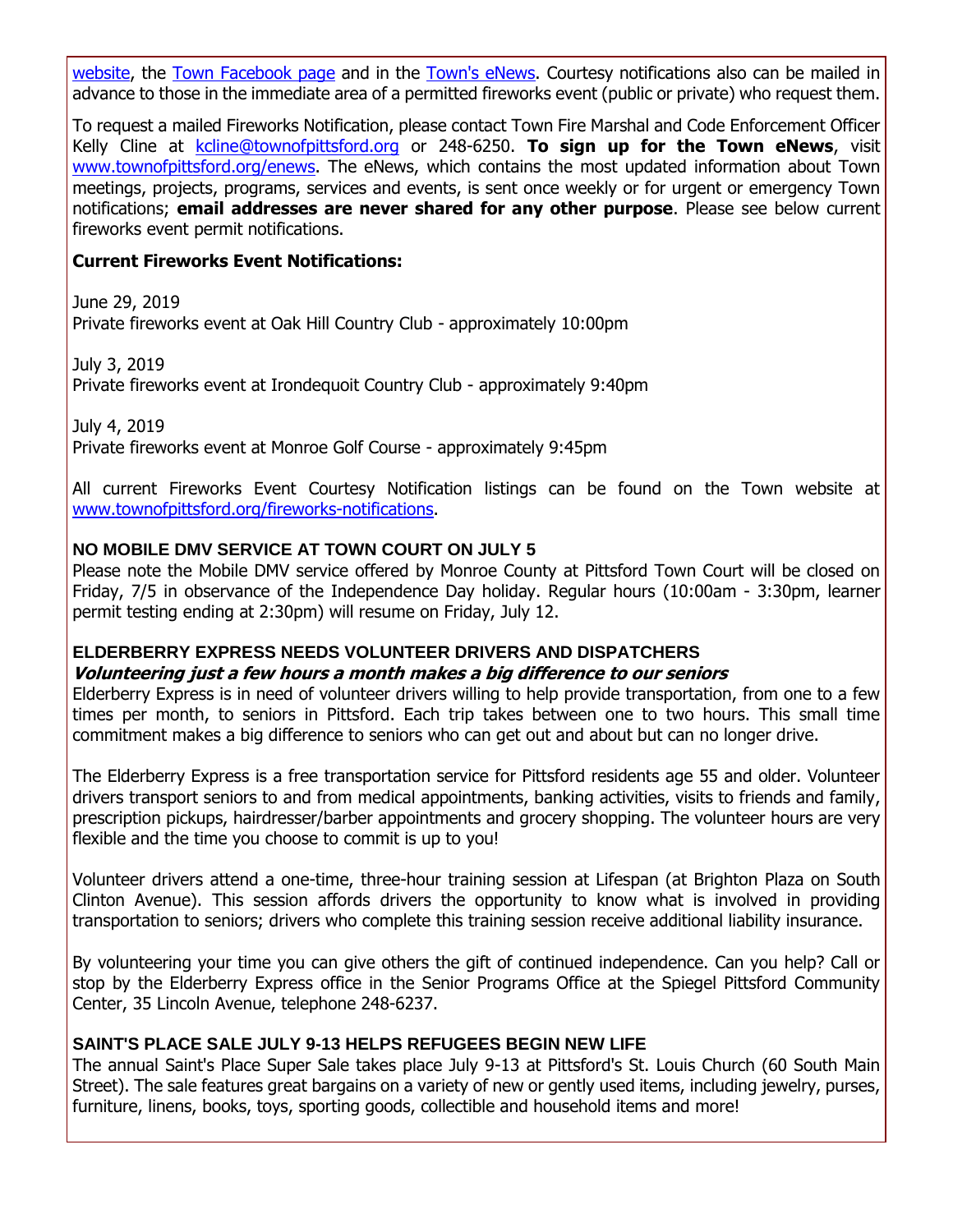[website,](http://r20.rs6.net/tn.jsp?f=001108hQT80oTvOD08WMW_TzxMWFfw05AjFTyUnfhyCQnjctFlpyjCM7Wo1WN_36erLPWTSjprd8EIOxTksojZrRR2VXB7OU23HQnA7tPk6BEQWsuaGOWoJYptn2oCZYgRLr0snDpBYVpWsFtJyGYmMVnwORjoHsgSM3RtjIcySoqsLXABPDLEzklPu82xP4_mw49QSfv0OVg318B0ifefTRYmky3qKhzArOymhprrUdl_EB5Qh0mKkp_y1t-9vTJhJXXK1f_T0xnHjIQBlXREb1qnKqYhiENNwlYo9q8UcV_TKIWgnFnVQygLna8BJa0D6-9aiZXedVW8=&c=yUFZ6Xyj0HaMx28MAtrdufakI_i76UrHhDVT3_9rQf2AFbj-XoDqww==&ch=1yaDTtTlc6R90Qdbn1U4n9aeWxa0mzQg-Tjn0jaxr5AIXpHSCFF6EQ==) the [Town Facebook page](http://r20.rs6.net/tn.jsp?f=001108hQT80oTvOD08WMW_TzxMWFfw05AjFTyUnfhyCQnjctFlpyjCM7fu6TbSzuRwFhM6NEP8lNEGAggSkdn-mIa_riTFVBekCGdePjwEewQGhSJvxc7Bmq54z0td1hNDPtHqP4HrpyCfVvPQYvdO9LIwYPLUvbY1IoQLZ_vY7oBq4_Q6_ugmk3FBZ-GN_4t29ya0xB5OXLiknTGCYY7amvE31xpxd-8-9&c=yUFZ6Xyj0HaMx28MAtrdufakI_i76UrHhDVT3_9rQf2AFbj-XoDqww==&ch=1yaDTtTlc6R90Qdbn1U4n9aeWxa0mzQg-Tjn0jaxr5AIXpHSCFF6EQ==) and in the [Town's eNews.](http://r20.rs6.net/tn.jsp?f=001108hQT80oTvOD08WMW_TzxMWFfw05AjFTyUnfhyCQnjctFlpyjCM7fu6TbSzuRwFh_KvQNl0Yp5SEhDLvBJXPfZ2zrkRpY0VI2ptCtCheh_0CiWGfC_CidDb1lDOmzRrLlCVCnDJPzhb-VcNjJ0E0m5hOUmC0xkXSWLpARIOSypvC6zQmBTQMKK73QEBig7ipXf93tU2XCCkmjt1_yGcji8ZT0OtPNqGNnncu1VVBVb1s8bYVv6X-PqymEcq63h5vCoqaxpOp5upAVOsqup1323RYtS6kVqapZ0pw4j-lbK2b-oFDAJFgw==&c=yUFZ6Xyj0HaMx28MAtrdufakI_i76UrHhDVT3_9rQf2AFbj-XoDqww==&ch=1yaDTtTlc6R90Qdbn1U4n9aeWxa0mzQg-Tjn0jaxr5AIXpHSCFF6EQ==) Courtesy notifications also can be mailed in advance to those in the immediate area of a permitted fireworks event (public or private) who request them.

To request a mailed Fireworks Notification, please contact Town Fire Marshal and Code Enforcement Officer Kelly Cline at [kcline@townofpittsford.org](mailto:kcline@townofpittsford.or?subject=Town%20Fireworks%20Courtesy%20Notification) or 248-6250. **To sign up for the Town eNews**, visit [www.townofpittsford.org/enews.](http://r20.rs6.net/tn.jsp?f=001108hQT80oTvOD08WMW_TzxMWFfw05AjFTyUnfhyCQnjctFlpyjCM7fu6TbSzuRwFh_KvQNl0Yp5SEhDLvBJXPfZ2zrkRpY0VI2ptCtCheh_0CiWGfC_CidDb1lDOmzRrLlCVCnDJPzhb-VcNjJ0E0m5hOUmC0xkXSWLpARIOSypvC6zQmBTQMKK73QEBig7ipXf93tU2XCCkmjt1_yGcji8ZT0OtPNqGNnncu1VVBVb1s8bYVv6X-PqymEcq63h5vCoqaxpOp5upAVOsqup1323RYtS6kVqapZ0pw4j-lbK2b-oFDAJFgw==&c=yUFZ6Xyj0HaMx28MAtrdufakI_i76UrHhDVT3_9rQf2AFbj-XoDqww==&ch=1yaDTtTlc6R90Qdbn1U4n9aeWxa0mzQg-Tjn0jaxr5AIXpHSCFF6EQ==) The eNews, which contains the most updated information about Town meetings, projects, programs, services and events, is sent once weekly or for urgent or emergency Town notifications; **email addresses are never shared for any other purpose**. Please see below current fireworks event permit notifications.

#### **Current Fireworks Event Notifications:**

June 29, 2019 Private fireworks event at Oak Hill Country Club - approximately 10:00pm

July 3, 2019 Private fireworks event at Irondequoit Country Club - approximately 9:40pm

July 4, 2019 Private fireworks event at Monroe Golf Course - approximately 9:45pm

All current Fireworks Event Courtesy Notification listings can be found on the Town website at [www.townofpittsford.org/fireworks-notifications.](http://r20.rs6.net/tn.jsp?f=001108hQT80oTvOD08WMW_TzxMWFfw05AjFTyUnfhyCQnjctFlpyjCM7Wo1WN_36erLPWTSjprd8EIOxTksojZrRR2VXB7OU23HQnA7tPk6BEQWsuaGOWoJYptn2oCZYgRLr0snDpBYVpWsFtJyGYmMVnwORjoHsgSM3RtjIcySoqsLXABPDLEzklPu82xP4_mw49QSfv0OVg318B0ifefTRYmky3qKhzArOymhprrUdl_EB5Qh0mKkp_y1t-9vTJhJXXK1f_T0xnHjIQBlXREb1qnKqYhiENNwlYo9q8UcV_TKIWgnFnVQygLna8BJa0D6-9aiZXedVW8=&c=yUFZ6Xyj0HaMx28MAtrdufakI_i76UrHhDVT3_9rQf2AFbj-XoDqww==&ch=1yaDTtTlc6R90Qdbn1U4n9aeWxa0mzQg-Tjn0jaxr5AIXpHSCFF6EQ==)

#### **NO MOBILE DMV SERVICE AT TOWN COURT ON JULY 5**

Please note the Mobile DMV service offered by Monroe County at Pittsford Town Court will be closed on Friday, 7/5 in observance of the Independence Day holiday. Regular hours (10:00am - 3:30pm, learner permit testing ending at 2:30pm) will resume on Friday, July 12.

#### **ELDERBERRY EXPRESS NEEDS VOLUNTEER DRIVERS AND DISPATCHERS**

#### **Volunteering just a few hours a month makes a big difference to our seniors**

Elderberry Express is in need of volunteer drivers willing to help provide transportation, from one to a few times per month, to seniors in Pittsford. Each trip takes between one to two hours. This small time commitment makes a big difference to seniors who can get out and about but can no longer drive.

The Elderberry Express is a free transportation service for Pittsford residents age 55 and older. Volunteer drivers transport seniors to and from medical appointments, banking activities, visits to friends and family, prescription pickups, hairdresser/barber appointments and grocery shopping. The volunteer hours are very flexible and the time you choose to commit is up to you!

Volunteer drivers attend a one-time, three-hour training session at Lifespan (at Brighton Plaza on South Clinton Avenue). This session affords drivers the opportunity to know what is involved in providing transportation to seniors; drivers who complete this training session receive additional liability insurance.

By volunteering your time you can give others the gift of continued independence. Can you help? Call or stop by the Elderberry Express office in the Senior Programs Office at the Spiegel Pittsford Community Center, 35 Lincoln Avenue, telephone 248-6237.

#### **SAINT'S PLACE SALE JULY 9-13 HELPS REFUGEES BEGIN NEW LIFE**

The annual Saint's Place Super Sale takes place July 9-13 at Pittsford's St. Louis Church (60 South Main Street). The sale features great bargains on a variety of new or gently used items, including jewelry, purses, furniture, linens, books, toys, sporting goods, collectible and household items and more!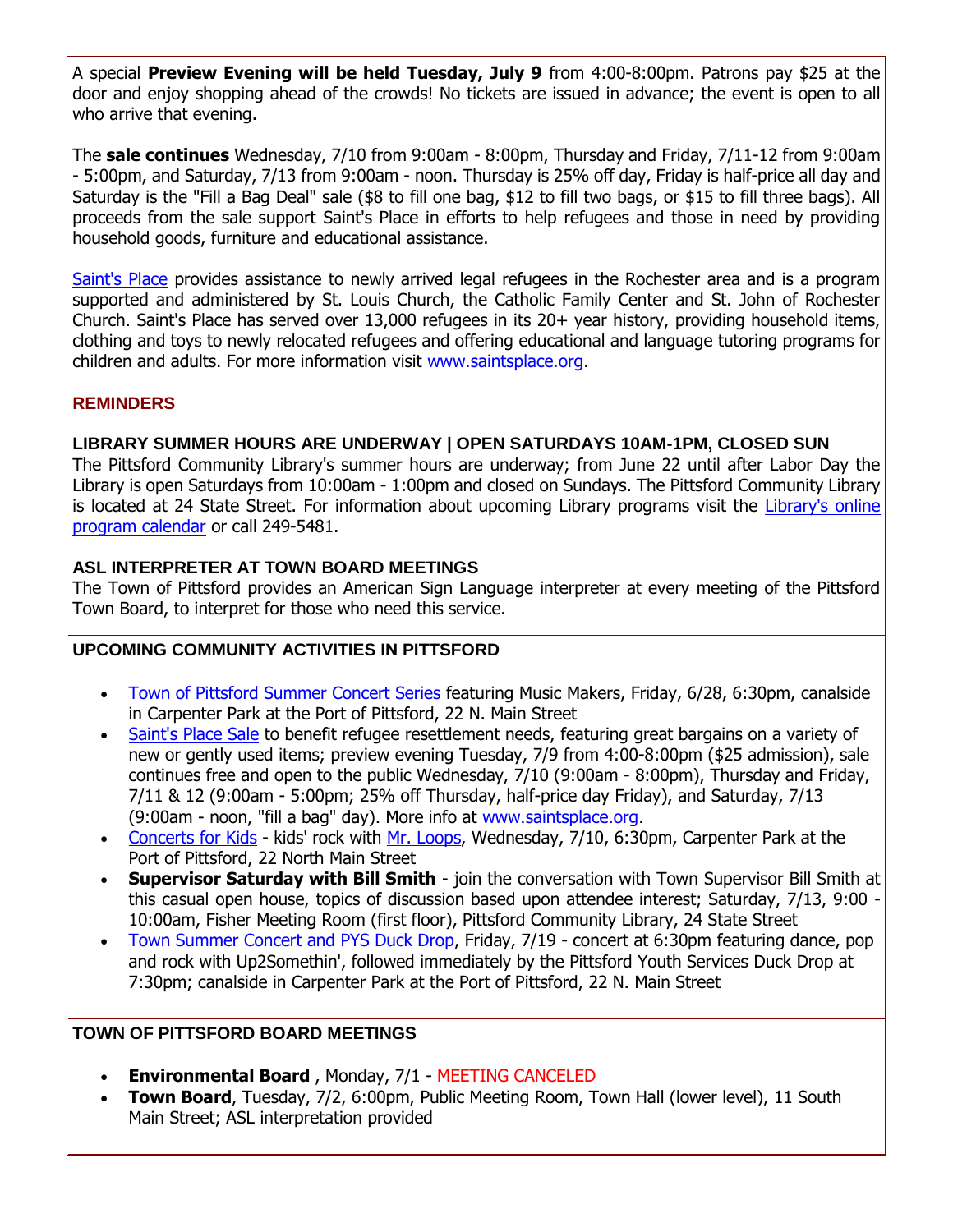A special **Preview Evening will be held Tuesday, July 9** from 4:00-8:00pm. Patrons pay \$25 at the door and enjoy shopping ahead of the crowds! No tickets are issued in advance; the event is open to all who arrive that evening.

The **sale continues** Wednesday, 7/10 from 9:00am - 8:00pm, Thursday and Friday, 7/11-12 from 9:00am - 5:00pm, and Saturday, 7/13 from 9:00am - noon. Thursday is 25% off day, Friday is half-price all day and Saturday is the "Fill a Bag Deal" sale (\$8 to fill one bag, \$12 to fill two bags, or \$15 to fill three bags). All proceeds from the sale support Saint's Place in efforts to help refugees and those in need by providing household goods, furniture and educational assistance.

[Saint's Place](http://r20.rs6.net/tn.jsp?f=001108hQT80oTvOD08WMW_TzxMWFfw05AjFTyUnfhyCQnjctFlpyjCM7awe4Mb0H9C6HqBRKVVM_hYjKhks81oG0NKbA_-gQBt7b7p5J-V40CDer12VfXBgp3EOgO3MQYe3TimafiXe-Aqub3CS9ZULeNc04D5dS2wmCwHz0smy1nVWAGWN5dm0TWGuDhY90wGV0Q2shoOuJx0BlK8a6ZFS8wLEsas6XgWtI7XtyoUVZ0zRjNSxfBsqTUuI1r_acMqlBEJJJvbFXw-lfKW-QknOyTsSEV0XvbgYLGB_JP8x9yQ=&c=yUFZ6Xyj0HaMx28MAtrdufakI_i76UrHhDVT3_9rQf2AFbj-XoDqww==&ch=1yaDTtTlc6R90Qdbn1U4n9aeWxa0mzQg-Tjn0jaxr5AIXpHSCFF6EQ==) provides assistance to newly arrived legal refugees in the Rochester area and is a program supported and administered by St. Louis Church, the Catholic Family Center and St. John of Rochester Church. Saint's Place has served over 13,000 refugees in its 20+ year history, providing household items, clothing and toys to newly relocated refugees and offering educational and language tutoring programs for children and adults. For more information visit [www.saintsplace.org.](http://r20.rs6.net/tn.jsp?f=001108hQT80oTvOD08WMW_TzxMWFfw05AjFTyUnfhyCQnjctFlpyjCM7awe4Mb0H9C6HqBRKVVM_hYjKhks81oG0NKbA_-gQBt7b7p5J-V40CDer12VfXBgp3EOgO3MQYe3TimafiXe-Aqub3CS9ZULeNc04D5dS2wmCwHz0smy1nVWAGWN5dm0TWGuDhY90wGV0Q2shoOuJx0BlK8a6ZFS8wLEsas6XgWtI7XtyoUVZ0zRjNSxfBsqTUuI1r_acMqlBEJJJvbFXw-lfKW-QknOyTsSEV0XvbgYLGB_JP8x9yQ=&c=yUFZ6Xyj0HaMx28MAtrdufakI_i76UrHhDVT3_9rQf2AFbj-XoDqww==&ch=1yaDTtTlc6R90Qdbn1U4n9aeWxa0mzQg-Tjn0jaxr5AIXpHSCFF6EQ==)

#### **REMINDERS**

#### **LIBRARY SUMMER HOURS ARE UNDERWAY | OPEN SATURDAYS 10AM-1PM, CLOSED SUN**

The Pittsford Community Library's summer hours are underway; from June 22 until after Labor Day the Library is open Saturdays from 10:00am - 1:00pm and closed on Sundays. The Pittsford Community Library is located at 24 State Street. For information about upcoming Library programs visit the Library's online [program calendar](http://r20.rs6.net/tn.jsp?f=001108hQT80oTvOD08WMW_TzxMWFfw05AjFTyUnfhyCQnjctFlpyjCM7fu6TbSzuRwFYgdK_xzIfMD-PjfHIEPo0y8avlhFKZpxtxdzn8Ri3NzQjAKjaPzlrUjpjr-zZX2S9adW8WkPyzl57N3EyKxrJr5yDH2pDa5wChhtpDTBr4CWIWTPxQzF7QAka65wIWGuiNGRz8KU5IiUP8C_RpAemrZPC3VsYzRNoTP4KZWIgFXsnh21eAQcjWFpaCikg1DgNWISTujjM0EVvaDLIrviPSkIvZ71WbJy3dr2X00G9W9Iv1TOO-HkhNMLI9kXzU5LL0dXvaq4IsveQFc_PFHsSWN1fOySb6R3URADf_6EjTfJssnwR8tgGsAHFRAba2UYXrghR3ZpqY8=&c=yUFZ6Xyj0HaMx28MAtrdufakI_i76UrHhDVT3_9rQf2AFbj-XoDqww==&ch=1yaDTtTlc6R90Qdbn1U4n9aeWxa0mzQg-Tjn0jaxr5AIXpHSCFF6EQ==) or call 249-5481.

#### **ASL INTERPRETER AT TOWN BOARD MEETINGS**

The Town of Pittsford provides an American Sign Language interpreter at every meeting of the Pittsford Town Board, to interpret for those who need this service.

#### **UPCOMING COMMUNITY ACTIVITIES IN PITTSFORD**

- [Town of Pittsford Summer Concert Series](http://r20.rs6.net/tn.jsp?f=001108hQT80oTvOD08WMW_TzxMWFfw05AjFTyUnfhyCQnjctFlpyjCM7ZrzFARN-0DU1FNKiNOwK6Yx4EslqaNJ00rHBmTgrLI6VtrSNtxB_beUjqd338Rn57YUAEmfgKkGWEK9Unh-4Fn6RTYZmITpNzXzOKpExDNWI2Ig-tDP1_my_12M2tF3lxBGqCO2Bg5ggMNT4chWMWvfiPER-WenRs3UBvFmTOkOrQHpLp-X-Q1Uo5sELbnjdp4OqgIIcMWXcHLdWASg2lwtEiZBdob8hNtDOFuXGVHVzUkFrCNTqG6TlYLl5MNGiuND5PuX0BjU&c=yUFZ6Xyj0HaMx28MAtrdufakI_i76UrHhDVT3_9rQf2AFbj-XoDqww==&ch=1yaDTtTlc6R90Qdbn1U4n9aeWxa0mzQg-Tjn0jaxr5AIXpHSCFF6EQ==) featuring Music Makers, Friday, 6/28, 6:30pm, canalside in Carpenter Park at the Port of Pittsford, 22 N. Main Street
- [Saint's Place Sale](http://r20.rs6.net/tn.jsp?f=001108hQT80oTvOD08WMW_TzxMWFfw05AjFTyUnfhyCQnjctFlpyjCM7awe4Mb0H9C6HqBRKVVM_hYjKhks81oG0NKbA_-gQBt7b7p5J-V40CDer12VfXBgp3EOgO3MQYe3TimafiXe-Aqub3CS9ZULeNc04D5dS2wmCwHz0smy1nVWAGWN5dm0TWGuDhY90wGV0Q2shoOuJx0BlK8a6ZFS8wLEsas6XgWtI7XtyoUVZ0zRjNSxfBsqTUuI1r_acMqlBEJJJvbFXw-lfKW-QknOyTsSEV0XvbgYLGB_JP8x9yQ=&c=yUFZ6Xyj0HaMx28MAtrdufakI_i76UrHhDVT3_9rQf2AFbj-XoDqww==&ch=1yaDTtTlc6R90Qdbn1U4n9aeWxa0mzQg-Tjn0jaxr5AIXpHSCFF6EQ==) to benefit refugee resettlement needs, featuring great bargains on a variety of new or gently used items; preview evening Tuesday, 7/9 from 4:00-8:00pm (\$25 admission), sale continues free and open to the public Wednesday, 7/10 (9:00am - 8:00pm), Thursday and Friday, 7/11 & 12 (9:00am - 5:00pm; 25% off Thursday, half-price day Friday), and Saturday, 7/13 (9:00am - noon, "fill a bag" day). More info at [www.saintsplace.org.](http://r20.rs6.net/tn.jsp?f=001108hQT80oTvOD08WMW_TzxMWFfw05AjFTyUnfhyCQnjctFlpyjCM7awe4Mb0H9C6HqBRKVVM_hYjKhks81oG0NKbA_-gQBt7b7p5J-V40CDer12VfXBgp3EOgO3MQYe3TimafiXe-Aqub3CS9ZULeNc04D5dS2wmCwHz0smy1nVWAGWN5dm0TWGuDhY90wGV0Q2shoOuJx0BlK8a6ZFS8wLEsas6XgWtI7XtyoUVZ0zRjNSxfBsqTUuI1r_acMqlBEJJJvbFXw-lfKW-QknOyTsSEV0XvbgYLGB_JP8x9yQ=&c=yUFZ6Xyj0HaMx28MAtrdufakI_i76UrHhDVT3_9rQf2AFbj-XoDqww==&ch=1yaDTtTlc6R90Qdbn1U4n9aeWxa0mzQg-Tjn0jaxr5AIXpHSCFF6EQ==)
- [Concerts for Kids](http://r20.rs6.net/tn.jsp?f=001108hQT80oTvOD08WMW_TzxMWFfw05AjFTyUnfhyCQnjctFlpyjCM7Q-IcxlR0Xfp-JsYbxeDCxei_TE7-HPRYHWnPc_sjlcJGeXmPU2redg1h8fXLnMrwKzzeSu_zeNv0H7x0XVJx_npodJ3MS8ufsiY_LWUxhG0cCOXZDYJqMCbkHSOjOuPL8dWaO-V3pJ6J1OhdObsr1G4LEEqHJIlYpbqR0DqgAXwhNJf_0qDm9eWCzWGNALKgeYcroDUmxf7XQ4gpq7-ZQuWlZhsCTZikX_cR_NnVEM8vlez2muolmR21JsXPd8mPAprGo6zCHw3&c=yUFZ6Xyj0HaMx28MAtrdufakI_i76UrHhDVT3_9rQf2AFbj-XoDqww==&ch=1yaDTtTlc6R90Qdbn1U4n9aeWxa0mzQg-Tjn0jaxr5AIXpHSCFF6EQ==) kids' rock with [Mr. Loops,](http://r20.rs6.net/tn.jsp?f=001108hQT80oTvOD08WMW_TzxMWFfw05AjFTyUnfhyCQnjctFlpyjCM7bMC9AKdXOkBzQEKxZN_reVTdE5AKpSbo6c8Bmy7rQs7QG1twU7Aq37ts-CLOQKOGK3n33kgR2HfUlxbaSoF7x6TJcq14bfIMWPQOAXcLY8Y91qAb0FLVriNm9IuwIlTMCD9bbzzs90FLKJqSEM05OcTPX04tejDMToqiOKlgscw78ivNWiHk7RNqSVVeH8jZvdVTs5-SP8ewrrGwDKTii-kPaALSRBt_ncZL7PQFPlEwx9Uqvji3jE=&c=yUFZ6Xyj0HaMx28MAtrdufakI_i76UrHhDVT3_9rQf2AFbj-XoDqww==&ch=1yaDTtTlc6R90Qdbn1U4n9aeWxa0mzQg-Tjn0jaxr5AIXpHSCFF6EQ==) Wednesday, 7/10, 6:30pm, Carpenter Park at the Port of Pittsford, 22 North Main Street
- **Supervisor Saturday with Bill Smith** join the conversation with Town Supervisor Bill Smith at this casual open house, topics of discussion based upon attendee interest; Saturday, 7/13, 9:00 -10:00am, Fisher Meeting Room (first floor), Pittsford Community Library, 24 State Street
- [Town Summer Concert and PYS Duck Drop,](http://r20.rs6.net/tn.jsp?f=001108hQT80oTvOD08WMW_TzxMWFfw05AjFTyUnfhyCQnjctFlpyjCM7ZrzFARN-0DU1FNKiNOwK6Yx4EslqaNJ00rHBmTgrLI6VtrSNtxB_beUjqd338Rn57YUAEmfgKkGWEK9Unh-4Fn6RTYZmITpNzXzOKpExDNWI2Ig-tDP1_my_12M2tF3lxBGqCO2Bg5ggMNT4chWMWvfiPER-WenRs3UBvFmTOkOrQHpLp-X-Q1Uo5sELbnjdp4OqgIIcMWXcHLdWASg2lwtEiZBdob8hNtDOFuXGVHVzUkFrCNTqG6TlYLl5MNGiuND5PuX0BjU&c=yUFZ6Xyj0HaMx28MAtrdufakI_i76UrHhDVT3_9rQf2AFbj-XoDqww==&ch=1yaDTtTlc6R90Qdbn1U4n9aeWxa0mzQg-Tjn0jaxr5AIXpHSCFF6EQ==) Friday, 7/19 concert at 6:30pm featuring dance, pop and rock with Up2Somethin', followed immediately by the Pittsford Youth Services Duck Drop at 7:30pm; canalside in Carpenter Park at the Port of Pittsford, 22 N. Main Street

#### **TOWN OF PITTSFORD BOARD MEETINGS**

- **Environmental Board** , Monday, 7/1 MEETING CANCELED
- **Town Board,** Tuesday, 7/2, 6:00pm, Public Meeting Room, Town Hall (lower level), 11 South Main Street; ASL interpretation provided